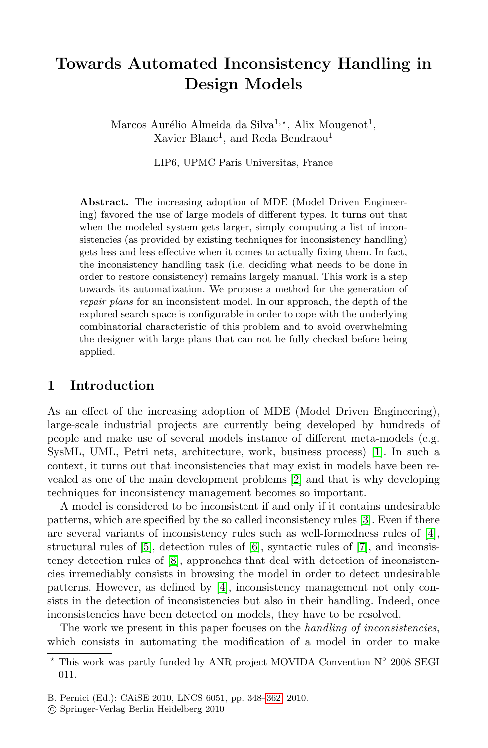# **Towards Automated Inconsistency Handling in Design Models**

Marcos Aurélio Almeida da Silva<sup>1,\*</sup>, Alix Mougenot<sup>1</sup>, Xavier Blanc<sup>1</sup>, and Reda Bendraou<sup>1</sup>

LIP6, UPMC Paris Universitas, France

**Abstract.** The increasing adoption of MDE (Model Driven Engineering) favored the use of large models of different types. It turns out that when the modeled system gets larger, simply computing a list of inconsistencies (as provided by existing techniques for inconsistency handling) gets less and less effective when it comes to actually fixing them. In fact, the inconsistency handling task (i.e. deciding what needs to be done in order to restore consistency) remains largely manual. This work is a step towards its automatization. We propose a method for the generation of *repair plans* for an inconsistent model. In our approach, the depth of the explored search space is configurable in order to cope with the underlying combinatorial characteristic of this problem and to avoid overwhelming the designer with large plans that can not [be](#page-13-0) fully checked before being applied.

# **1 Introduction**

As an effect of the increasing adoption of [MD](#page-13-1)E (Model Driven Engineering), large-scale industrial projects are currently being devel[op](#page-14-0)ed by hundreds of [pe](#page-14-1)ople and make use [of](#page-14-2) several models ins[tan](#page-14-3)ce of different meta-models (e.g. SysM[L,](#page-14-4) UML, Petri nets, architecture, work, business process) [1]. In such a context, it turns out that inconsistencies that may exist in models have been revealed as one o[f t](#page-14-0)he main development problems [2] and that is why developing techniques for inconsistency management becomes so important.

A model is considered to be inconsistent if and only if it contains undesirable patterns, which are specified by the so called inconsistency rules [3]. Even if there are several variants of inconsistency rules such as well-formedness rules of [4], structural rules of [5], detection rules of [6], syntactic rules of [7], and inconsistency detection rules of [8], approaches that deal with detection of inconsistencies irremediably consists in browsing the model in order to detect undesirable patterns. However, as de[fine](#page-14-5)d by [4], inconsistency management not only consists in the detection of inconsistencies but also in their handling. Indeed, once inconsistencies have been detected on models, they have to be resolved.

The work we present in this paper focuses on the *handling of inconsistencies*, which consists in automating the modification of a model in order to make

 $\star$  This work was partly funded by ANR project MOVIDA Convention N◦ 2008 SEGI 011.

B. Pernici (Ed.): CAiSE 2010, LNCS 6051, pp. 348–362, 2010.

<sup>-</sup>c Springer-Verlag Berlin Heidelberg 2010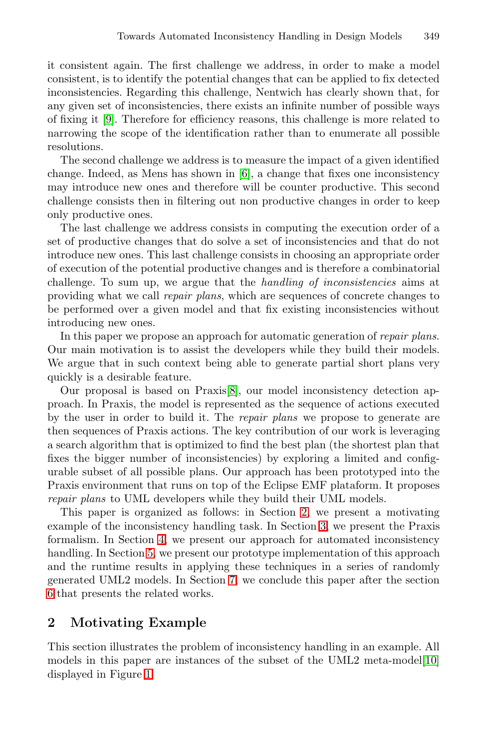it consistent again. [T](#page-14-2)he first challenge we address, in order to make a model consistent, is to identify the potential changes that can be applied to fix detected inconsistencies. Regarding this challenge, Nentwich has clearly shown that, for any given set of inconsistencies, there exists an infinite number of possible ways of fixing it [9]. Therefore for efficiency reasons, this challenge is more related to narrowing the scope of the identification rather than to enumerate all possible resolutions.

The second challenge we address is to measure the impact of a given identified change. Indeed, as Mens has shown in [6], a change that fixes one inconsistency may introduce new ones and therefore will be counter productive. This second challenge consists then in filtering out non productive changes in order to keep only productive ones.

The last challenge we address consists in computing the execution order of a set of productive changes that do solve a set of inconsistencies and that do not introduce new ones. This last challenge consists in choosing an appropriate order of execution of the potential productive changes and is therefore a combinatorial challenge. To su[m](#page-14-4) up, we argue that the *handling of inconsistencies* aims at providing what we call *repair plans*, which are sequences of concrete changes to be performed over a given model and that fix existing inconsistencies without introducing new ones.

In this paper we propose an approach for automatic generation of *repair plans*. Our main motivation is to assist the developers while they build their models. We argue that in such context being able to generate partial short plans very quickly is a desirable feature.

Our proposal is based on Praxis[8], our model inconsistency detection approach. In Praxis, the model is [rep](#page-1-0)resented as the sequence of actions executed by the user in order to build it. T[he](#page-3-0) *repair plans* we propose to generate are the[n](#page-5-0) sequences of Praxis actions. The key contribution of our work is leveraging [a se](#page-10-0)arch algorithm that is optimized to find the best plan (the shortest plan that fixes the bigger number of inconsistencies) by exploring a limited and configurable subset of [all](#page-13-2) possible plans. Our approach has been prototyped into the Praxis environment that runs on top of the Eclipse EMF plataform. It proposes *repair plans* to UML developers while they build their UML models.

<span id="page-1-0"></span>This paper is organized as follows: in Section 2, we present a motivating example of the inconsistency handling task. In Section 3, we present the Praxis formalism. In Section 4, we present our approach for automated inconsistency handling. In Section 5, we present our prototype implemen[tat](#page-14-6)ion of this approach [an](#page-2-0)d the runtime results in applying these techniques in a series of randomly generated UML2 models. In Section 7, we conclude this paper after the section 6 that presents the related works.

# **2 Motivating Example**

This section illustrates the problem of inconsistency handling in an example. All models in this paper are instances of the subset of the UML2 meta-model[10] displayed in Figure 1.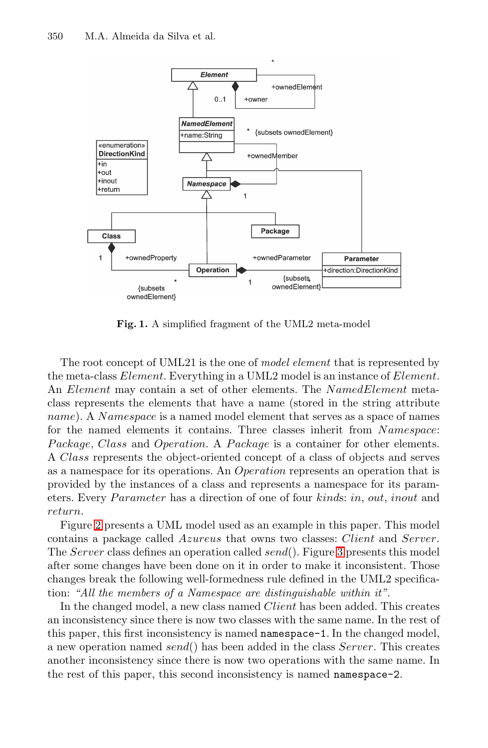

<span id="page-2-0"></span>**Fig. 1.** A simplified fragment of the UML2 meta-model

The root concept of UML21 is the one of *model element* that is represented by the meta-class *Element*. Everything in a UML2 model is an instance of *Element*. An *Element* may contain a set of other elements. The *N amedElement* metaclass represents the elements that have a name (stored in the string attribute *name*). A *Namespace* is a named model element that serves as a space of names for the named elements it contains. Three classes inherit from *N amespace*: *P ackage*, *Class* and *Operation*. A *P a[ck](#page-3-1)age* is a container for other elements. A *Class* represents the object-oriented concept of a class of objects and serves as a namespace for its operations. An *Operation* represents an operation that is provided by the instances of a class and represents a namespace for its parameters. Every *P arameter* has a direction of one of four *kind*s: *in*, *out*, *inout* and *return*.

Figure 2 presents a UML model used as an example in this paper. This model contains a package called *Azureus* that owns two classes: *Client* and *Server*. The *Server* class defines an operation called *send*(). Figure 3 presents this model after some changes have been done on it in order to make it inconsistent. Those changes break the following well-formedness rule defined in the UML2 specification: *"All the members of a Namespace are distinguishable within it"*.

In the changed model, a new class named *Client* has been added. This creates an inconsistency since there is now two classes with the same name. In the rest of this paper, this first inconsistency is named namespace-1. In the changed model, a new operation named *send*() has been added in the class *Server*. This creates another inconsistency since there is now two operations with the same name. In the rest of this paper, this second inconsistency is named namespace-2.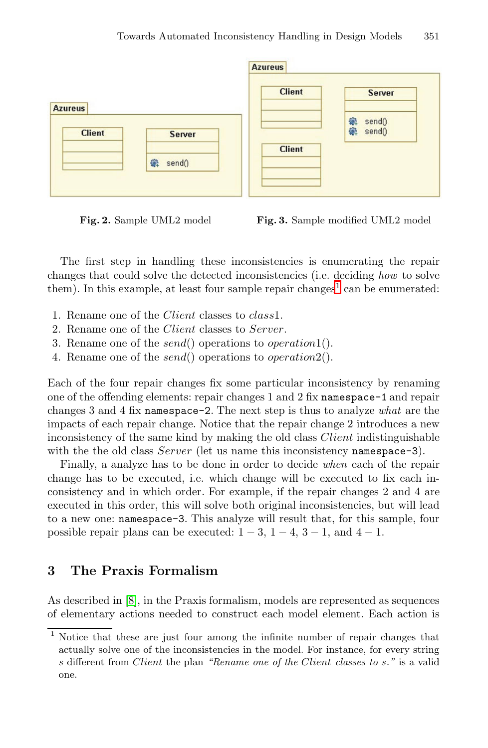

<span id="page-3-1"></span>**Fig. 2.** Sample UML2 model **Fig. 3.** Sample modified UML2 model

The first step in handling these inconsistencies is enumerating the repair changes that could solve the detected inconsistencies (i.e. deciding *how* to solve them). In this example, at least four sample repair changes<sup>1</sup> can be enumerated:

- 1. Rename one of the *Client* classes to *class*1.
- 2. Rename one of the *Client* classes to *Server*.
- 3. Rename one of the *send*() operations to *operation*1().
- 4. Rename one of the *send*() operations to *operation*2().

Each of the four repair changes fix some particular inconsistency by renaming one of the offending elements: repair changes 1 and 2 fix namespace-1 and repair changes 3 and 4 fix namespace-2. The next step is thus to analyze *what* are the impacts of each repair change. Notice that the repair change 2 introduces a new inconsistency of the same kind by making the old class *Client* indistinguishable with the the old class *Server* (let us name this inconsistency **namespace-3**).

<span id="page-3-0"></span>Finally, a analyze has to be done in order to decide *when* each of the repair change has to be executed, i.e. which change will be executed to fix each inconsistency and in which order. For example, if the repair changes 2 and 4 are executed in this order, this will solve both original inconsistencies, but will lead to a new one: namespace-3. This analyze will result that, for this sample, four possible repair plans can be executed:  $1 - 3$ ,  $1 - 4$ ,  $3 - 1$ , and  $4 - 1$ .

# **3 The Praxis Formalism**

As described in [8], in the Praxis formalism, models are represented as sequences of elementary actions needed to construct each model element. Each action is

 $1$  Notice that these are just four among the infinite number of repair changes that actually solve one of the inconsistencies in the model. For instance, for every string *s* different from *Client* the plan *"Rename one of the Client classes to s."* is a valid one.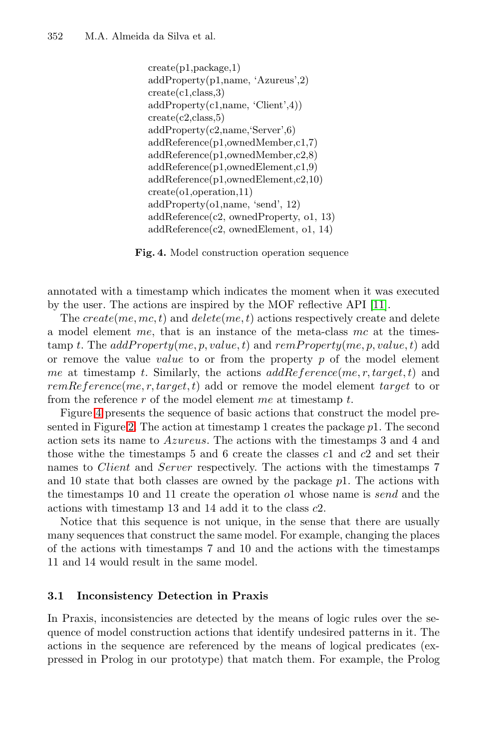```
create(p1,package,1)
addProperty(p1,name, 'Azureus',2)
create(c1,class,3)
addProperty(c1,name, 'Client',4))
create(c2, class, 5)addProperty(c2,name,'Server',6)
addReference(p1,ownedMember,c1,7)
addReference(p1,ownedMember,c2,8)
addReference(p1,ownedElement,c1,9)
addReference(p1,ownedElement,c2,10)
create(o1,operation,11)
addProperty(o1,name, 'send', 12)
addReference(c2, ownedProperty, o1, 13)
addReference(c2, ownedElement, o1, 14)
```
**Fig. 4.** Model construction operation sequence

annotated with a timestamp which indicates the moment when it was executed by the user. The actions are inspired by the MOF reflective API [11].

The *create*(*me, mc, t*) and *delete*(*me, t*) actions respectively create and delete a model element *me*, that is an instance of the meta-class *mc* at the timestamp *t*. The *addP roperty*(*me, p, value, t*) and *remP roperty*(*me, p, value, t*) add or remove the value *value* to or from the property *p* of the model element *me* at timestamp *t*. Similarly, the actions *addReference*(*me, r, target, t*) and *remReference*(*me, r, target, t*) add or remove the model element *target* to or from the reference *r* of the model element *me* at timestamp *t*.

Figure 4 presents the sequence of basic actions that construct the model presented in Figure 2. The action at timestamp 1 creates the package *p*1. The second action sets its name to *Azureus*. The actions with the timestamps 3 and 4 and those withe the timestamps 5 and 6 create the classes *c*1 and *c*2 and set their names to *Client* and *Server* respectively. The actions with the timestamps 7 and 10 state that both classes are owned by the package *p*1. The actions with the timestamps 10 and 11 create the operation *o*1 whose name is *send* and the actions with timestamp 13 and 14 add it to the class *c*2.

Notice that this sequence is not unique, in the sense that there are usually many sequences that construct the same model. For example, changing the places of the actions with timestamps 7 and 10 and the actions with the timestamps 11 and 14 would result in the same model.

### **3.1 Inconsistency Detection in Praxis**

In Praxis, inconsistencies are detected by the means of logic rules over the sequence of model construction actions that identify undesired patterns in it. The actions in the sequence are referenced by the means of logical predicates (expressed in Prolog in our prototype) that match them. For example, the Prolog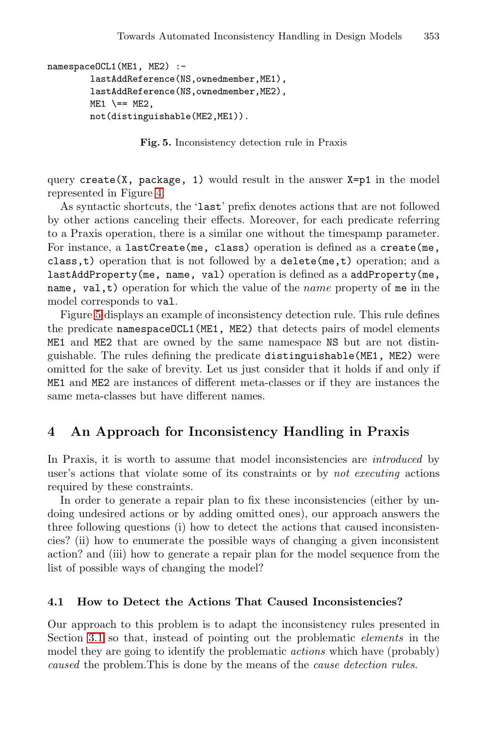```
namespaceOCL1(ME1, ME2) :-
        lastAddReference(NS,ownedmember,ME1),
        lastAddReference(NS,ownedmember,ME2),
        MF1 \leq ME2
        not(distinguishable(ME2,ME1)).
```
**Fig. 5.** Inconsistency detection rule in Praxis

query  $create(X, package, 1)$  would result in the answer  $X=p1$  in the model represented in Figure 4.

As syntactic shortcuts, the 'last' prefix denotes actions that are not followed by other actions canceling their effects. Moreover, for each predicate referring to a Praxis operation, there is a similar one without the timespamp parameter. For instance, a lastCreate(me, class) operation is defined as a create(me, class,t) operation that is not followed by a delete(me,t) operation; and a lastAddProperty(me, name, val) operation is defined as a addProperty(me, name, val,t) operation for which the value of the *name* property of me in the model corresponds to val.

<span id="page-5-0"></span>Figure 5 displays an example of inconsistency detection rule. This rule defines the predicate namespaceOCL1(ME1, ME2) that detects pairs of model elements ME1 and ME2 that are owned by the same namespace NS but are not distinguishable. The rules defining the predicate distinguishable(ME1, ME2) were omitted for the sake of brevity. Let us just consider that it holds if and only if ME1 and ME2 are instances of different meta-classes or if they are instances the same meta-classes but have different names.

# **4 An Approach for Inconsistency Handling in Praxis**

In Praxis, it is worth to assume that model inconsistencies are *introduced* by user's actions that violate some of its constraints or by *not executing* actions required by these constraints.

In order to generate a repair plan to fix these inconsistencies (either by undoing undesired actions or by adding omitted ones), our approach answers the three following questions (i) how to detect the actions that caused inconsistencies? (ii) how to enumerate the possible ways of changing a given inconsistent action? and (iii) how to generate a repair plan for the model sequence from the list of possible ways of changing the model?

### **4.1 How to Detect the Actions That Caused Inconsistencies?**

Our approach to this problem is to adapt the inconsistency rules presented in Section 3.1 so that, instead of pointing out the problematic *elements* in the model they are going to identify the problematic *actions* which have (probably) *caused* the problem.This is done by the means of the *cause detection rules*.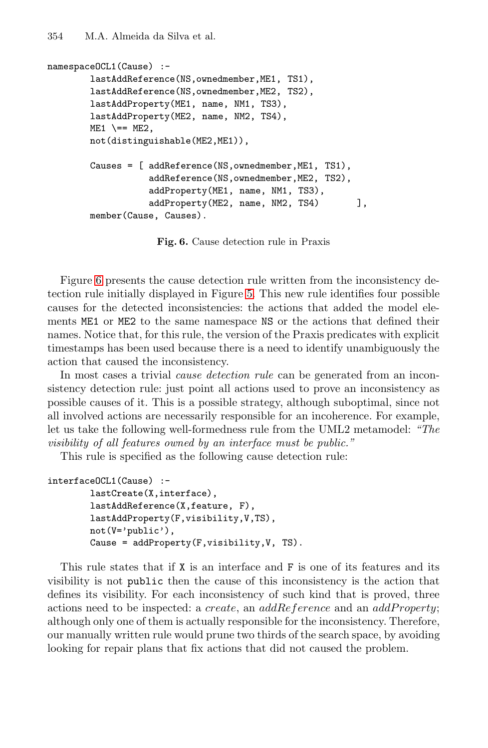```
namespaceOCL1(Cause) :-
        lastAddReference(NS,ownedmember,ME1, TS1),
        lastAddReference(NS,ownedmember,ME2, TS2),
        lastAddProperty(ME1, name, NM1, TS3),
        lastAddProperty(ME2, name, NM2, TS4),
        ME1 \leftarrow ME2.
        not(distinguishable(ME2,ME1)),
        Causes = [ addReference(NS,ownedmember,ME1, TS1),
                   addReference(NS,ownedmember,ME2, TS2),
                   addProperty(ME1, name, NM1, TS3),
                   addProperty(ME2, name, NM2, TS4) ],
        member(Cause, Causes).
```
**Fig. 6.** Cause detection rule in Praxis

Figure 6 presents the cause detection rule written from the inconsistency detection rule initially displayed in Figure 5. This new rule identifies four possible causes for the detected inconsistencies: the actions that added the model elements ME1 or ME2 to the same namespace NS or the actions that defined their names. Notice that, for this rule, the version of the Praxis predicates with explicit timestamps has been used because there is a need to identify unambiguously the action that caused the inconsistency.

In most cases a trivial *cause detection rule* can be generated from an inconsistency detection rule: just point all actions used to prove an inconsistency as possible causes of it. This is a possible strategy, although suboptimal, since not all involved actions are necessarily responsible for an incoherence. For example, let us take the following well-formedness rule from the UML2 metamodel: *"The visibility of all features owned by an interface must be public."*

This rule is specified as the following cause detection rule:

```
interfaceOCL1(Cause) :-
        lastCreate(X,interface),
        lastAddReference(X,feature, F),
        lastAddProperty(F,visibility,V,TS),
       not(V='public'),
        Cause = addProperty(F,visibility,V, TS).
```
This rule states that if  $X$  is an interface and  $F$  is one of its features and its visibility is not public then the cause of this inconsistency is the action that defines its visibility. For each inconsistency of such kind that is proved, three actions need to be inspected: a *create*, an *addReference* and an *addP roperty*; although only one of them is actually responsible for the inconsistency. Therefore, our manually written rule would prune two thirds of the search space, by avoiding looking for repair plans that fix actions that did not caused the problem.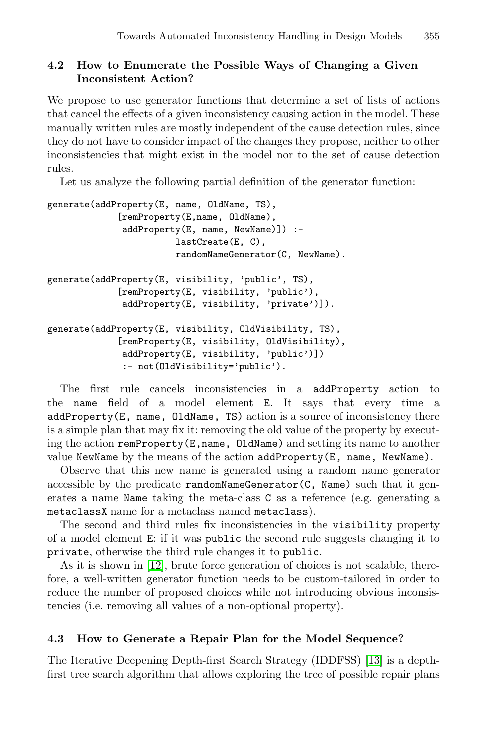# **4.2 How to Enumerate the Possible Ways of Changing a Given Inconsistent Action?**

We propose to use generator functions that determine a set of lists of actions that cancel the effects of a given inconsistency causing action in the model. These manually written rules are mostly independent of the cause detection rules, since they do not have to consider impact of the changes they propose, neither to other inconsistencies that might exist in the model nor to the set of cause detection rules.

Let us analyze the following partial definition of the generator function:

```
generate(addProperty(E, name, OldName, TS),
             [remProperty(E,name, OldName),
              addProperty(E, name, NewName)]) :-
                        lastCreate(E, C),
                        randomNameGenerator(C, NewName).
generate(addProperty(E, visibility, 'public', TS),
             [remProperty(E, visibility, 'public'),
              addProperty(E, visibility, 'private')]).
generate(addProperty(E, visibility, OldVisibility, TS),
             [remProperty(E, visibility, OldVisibility),
              addProperty(E, visibility, 'public')])
              :- not(OldVisibility='public').
```
The first rule cancels inconsistencies in a addProperty action to the name field of a model element E. It says that every time a addProperty(E, name, OldName, TS) action is a source of inconsistency there is a simple plan that may fix it: removing the old value of the property by executing the action remProperty(E,name, OldName) and setting its name to another v[alue](#page-14-8) NewName by the means of the action addProperty(E, name, NewName).

Observe that this new name is generated using a random name generator accessible by the predicate  $\texttt{randomNameGenerator}(C, \texttt{Name})$  such that it generates a name Name taking the meta-class C as a reference (e.g. generating a metaclassX name for a metaclass named metaclass).

The second and third rules fix inconsistencies in the visibility property of a model element E: if it was public the second rule suggests changing it to private, otherwise the third rule changes it [to](#page-14-9) public.

As it is shown in [12], brute force generation of choices is not scalable, therefore, a well-written generator function needs to be custom-tailored in order to reduce the number of proposed choices while not introducing obvious inconsistencies (i.e. removing all values of a non-optional property).

#### **4.3 How to Generate a Repair Plan for the Model Sequence?**

The Iterative Deepening Depth-first Search Strategy (IDDFSS) [13] is a depthfirst tree search algorithm that allows exploring the tree of possible repair plans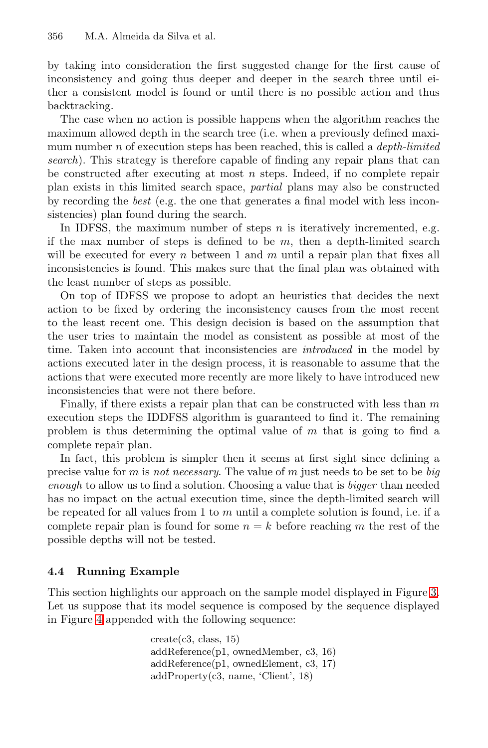by taking into consideration the first suggested change for the first cause of inconsistency and going thus deeper and deeper in the search three until either a consistent model is found or until there is no possible action and thus backtracking.

The case when no action is possible happens when the algorithm reaches the maximum allowed depth in the search tree (i.e. when a previously defined maximum number *n* of execution steps has been reached, this is called a *depth-limited search*). This strategy is therefore capable of finding any repair plans that can be constructed after executing at most *n* steps. Indeed, if no complete repair plan exists in this limited search space, *partial* plans may also be constructed by recording the *best* (e.g. the one that generates a final model with less inconsistencies) plan found during the search.

In IDFSS, the maximum number of steps *n* is iteratively incremented, e.g. if the max number of steps is defined to be *m*, then a depth-limited search will be executed for every *n* between 1 and *m* until a repair plan that fixes all inconsistencies is found. This makes sure that the final plan was obtained with the least number of steps as possible.

On top of IDFSS we propose to adopt an heuristics that decides the next action to be fixed by ordering the inconsistency causes from the most recent to the least recent one. This design decision is based on the assumption that the user tries to maintain the model as consistent as possible at most of the time. Taken into account that inconsistencies are *introduced* in the model by actions executed later in the design process, it is reasonable to assume that the actions that were executed more recently are more likely to have introduced new inconsistencies that were not there before.

Finally, if there exists a repair plan that can be constructed with less than *m* execution steps the IDDFSS algorithm is guaranteed to find it. The remaining problem is thus determining the optimal value of *m* that is going to find a complete repair plan.

In fact, this problem is simpler then it seems at first sight since defining a precise value for *m* is *not necessary*. The value of *m* just needs to be set to be *big enough* to allow us to find a solution. Choosing a value that [is](#page-3-1) *bigger* than needed has no impact on the actual execution time, since the depth-limited search will be repeated for all values from 1 to *m* until a complete solution is found, i.e. if a complete repair plan is found for some  $n = k$  before reaching m the rest of the possible depths will not be tested.

### **4.4 Running Example**

This section highlights our approach on the sample model displayed in Figure 3. Let us suppose that its model sequence is composed by the sequence displayed in Figure 4 appended with the following sequence:

> $create(c3, class, 15)$ addReference(p1, ownedMember, c3, 16) addReference(p1, ownedElement, c3, 17) addProperty(c3, name, 'Client', 18)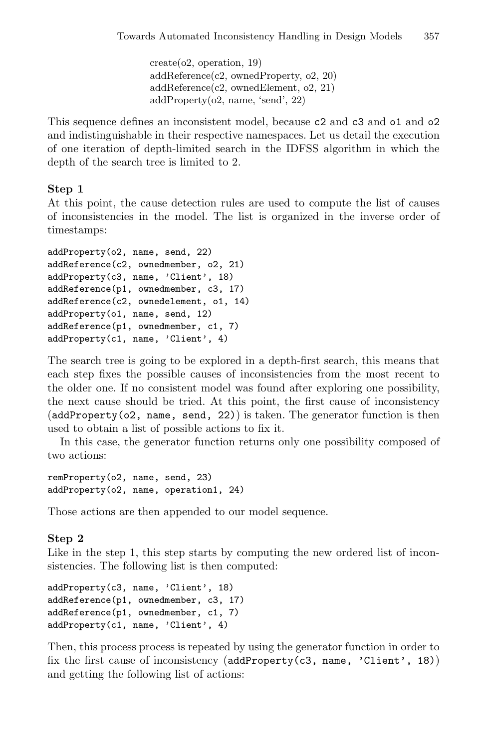create(o2, operation, 19) addReference(c2, ownedProperty, o2, 20) addReference(c2, ownedElement, o2, 21) addProperty(o2, name, 'send', 22)

This sequence defines an inconsistent model, because c2 and c3 and o1 and o2 and indistinguishable in their respective namespaces. Let us detail the execution of one iteration of depth-limited search in the IDFSS algorithm in which the depth of the search tree is limited to 2.

# **Step 1**

At this point, the cause detection rules are used to compute the list of causes of inconsistencies in the model. The list is organized in the inverse order of timestamps:

```
addProperty(o2, name, send, 22)
addReference(c2, ownedmember, o2, 21)
addProperty(c3, name, 'Client', 18)
addReference(p1, ownedmember, c3, 17)
addReference(c2, ownedelement, o1, 14)
addProperty(o1, name, send, 12)
addReference(p1, ownedmember, c1, 7)
addProperty(c1, name, 'Client', 4)
```
The search tree is going to be explored in a depth-first search, this means that each step fixes the possible causes of inconsistencies from the most recent to the older one. If no consistent model was found after exploring one possibility, the next cause should be tried. At this point, the first cause of inconsistency  $(\text{addProperty}(o2, name, send, 22))$  is taken. The generator function is then used to obtain a list of possible actions to fix it.

In this case, the generator function returns only one possibility composed of two actions:

```
remProperty(o2, name, send, 23)
addProperty(o2, name, operation1, 24)
```
Those actions are then appended to our model sequence.

### **Step 2**

Like in the step 1, this step starts by computing the new ordered list of inconsistencies. The following list is then computed:

```
addProperty(c3, name, 'Client', 18)
addReference(p1, ownedmember, c3, 17)
addReference(p1, ownedmember, c1, 7)
addProperty(c1, name, 'Client', 4)
```
Then, this process process is repeated by using the generator function in order to fix the first cause of inconsistency (addProperty(c3, name, 'Client', 18)) and getting the following list of actions: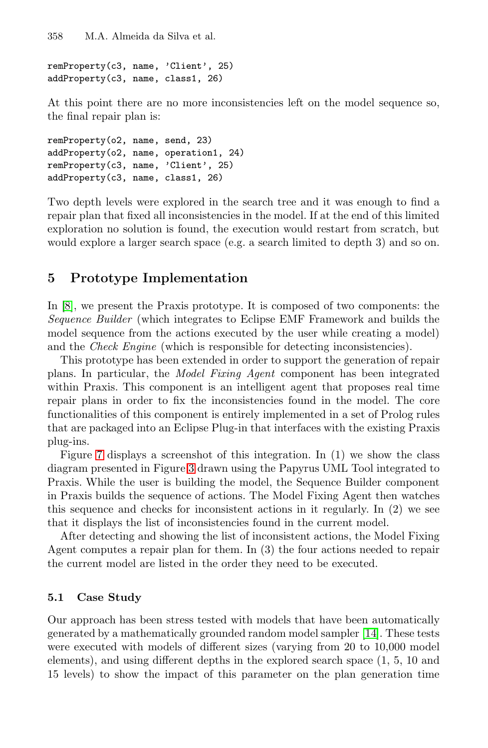remProperty(c3, name, 'Client', 25) addProperty(c3, name, class1, 26)

At this point there are no more inconsistencies left on the model sequence so, the final repair plan is:

<span id="page-10-0"></span>remProperty(o2, name, send, 23) addProperty(o2, name, operation1, 24) remProperty(c3, name, 'Client', 25) addProperty(c3, name, class1, 26)

Two depth levels were explored in the search tree and it was enough to find a repair plan that fixed all inconsistencies in the model. If at the end of this limited exploration no solution is found, the execution would restart from scratch, but would explore a larger search space (e.g. a search limited to depth 3) and so on.

# **5 Prototype Implementation**

In [8], we present the Praxis prototype. It is composed of two components: the *Sequence Builder* (which integrates to Eclipse EMF Framework and builds the model sequence from the actions executed by the user while creating a model) and the *Check Engine* (which is responsible for detecting inconsistencies).

This p[ro](#page-3-1)totype has been extended in order to support the generation of repair plans. In particular, the *Model Fixing Agent* component has been integrated within Praxis. This component is an intelligent agent that proposes real time repair plans in order to fix the inconsistencies found in the model. The core functionalities of this component is entirely implemented in a set of Prolog rules that are packaged into an Eclipse Plug-in that interfaces with the existing Praxis plug-ins.

Figure 7 displays a screenshot of this integration. In (1) we show the class diagram presented in Figure 3 drawn using the Papyrus UML Tool integrated to Praxis. While the user is building the model, the Sequence Builder component in Praxis builds the sequence of actions. The Model Fixing Agent then watches this sequence and checks for inconsistent actions in it regularly. In (2) we see that it displays the list of inconsistencies fou[nd](#page-14-10) in the current model.

After detecting and showing the list of inconsistent actions, the Model Fixing Agent computes a repair plan for them. In (3) the four actions needed to repair the current model are listed in the order they need to be executed.

## **5.1 Case Study**

Our approach has been stress tested with models that have been automatically generated by a mathematically grounded random model sampler [14]. These tests were executed with models of different sizes (varying from 20 to 10,000 model elements), and using different depths in the explored search space (1, 5, 10 and 15 levels) to show the impact of this parameter on the plan generation time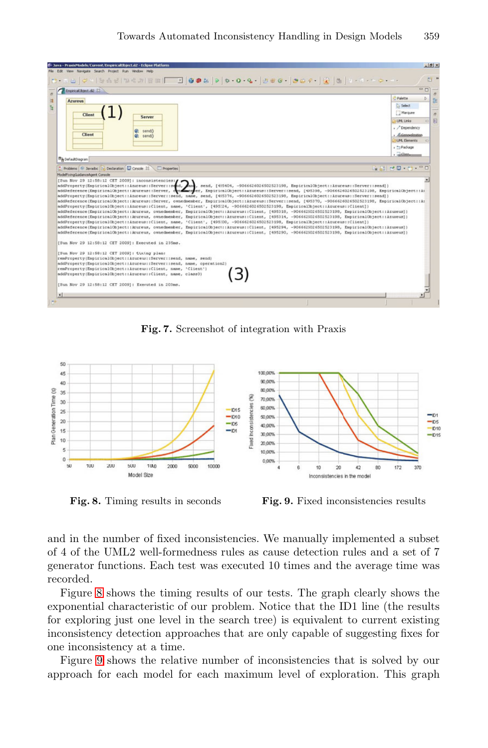

**Fig. 7.** Screenshot of integration with Praxis





and in the number of fixed inconsistencies. We manually implemented a subset of 4 of the UML2 well-formedness rules as cause detection rules and a set of 7 generator functions. Each test was executed 10 times and the average time was recorded.

Figure 8 shows the timing results of our tests. The graph clearly shows the exponential characteristic of our problem. Notice that the ID1 line (the results for exploring just one level in the search tree) is equivalent to current existing inconsistency detection approaches that are only capable of suggesting fixes for one inconsistency at a time.

Figure 9 shows the relative number of inconsistencies that is solved by our approach for each model for each maximum level of exploration. This graph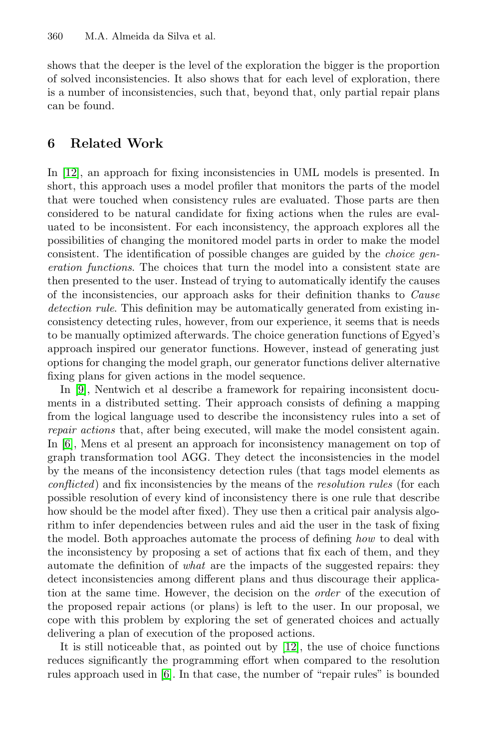shows that the deeper is the level of the exploration the bigger is the proportion of solved inconsistencies. It also shows that for each level of exploration, there is a number of inconsistencies, such that, beyond that, only partial repair plans can be found.

# **6 Related Work**

In [12], an approach for fixing inconsistencies in UML models is presented. In short, this approach uses a model profiler that monitors the parts of the model that were touched when consistency rules are evaluated. Those parts are then considered to be natural candidate for fixing actions when the rules are evaluated to be inconsistent. For each inconsistency, the approach explores all the possibilities of changing the monitored model parts in order to make the model consistent. The identification of possible changes are guided by the *choice generation functions*. The choices that turn the model into a consistent state are then presented to the user. Instead of trying to automatically identify the causes of the inconsistencies, our approach asks for their definition thanks to *Cause detection rule*. This definition may be automatically generated from existing inconsistency detecting rules, however, from our experience, it seems that is needs to be manually optimized afterwards. The choice generation functions of Egyed's approach inspired our generator functions. However, instead of generating just options for changing the model graph, our generator functions deliver alternative fixing plans for given actions in the model sequence.

In [9], Nentwich et al describe a framework for repairing inconsistent documents in a distributed setting. Their approach consists of defining a mapping from the logical language used to describe the inconsistency rules into a set of *repair actions* that, after being executed, will make the model consistent again. In [6], Mens et al present an approach for inconsistency management on top of graph transformation tool AGG. They detect the inconsistencies in the model by the means of the inconsistency detection rules (that tags model elements as *conflicted*) and fix inconsistencies by the means of the *resolution rules* (for each possible resolution of every kind of inconsistency there is one rule that describe how should be the model after fixed). They use then a critical pair analysis algorithm to infer dependencies between rules and aid the user in the task of fixing the model. Both approaches [aut](#page-14-8)omate the process of defining *how* to deal with the inconsistency by proposing a set of actions that fix each of them, and they aut[om](#page-14-2)ate the definition of *what* are the impacts of the suggested repairs: they detect inconsistencies among different plans and thus discourage their application at the same time. However, the decision on the *order* of the execution of the proposed repair actions (or plans) is left to the user. In our proposal, we cope with this problem by exploring the set of generated choices and actually delivering a plan of execution of the proposed actions.

It is still noticeable that, as pointed out by [12], the use of choice functions reduces significantly the programming effort when compared to the resolution rules approach used in [6]. In that case, the number of "repair rules" is bounded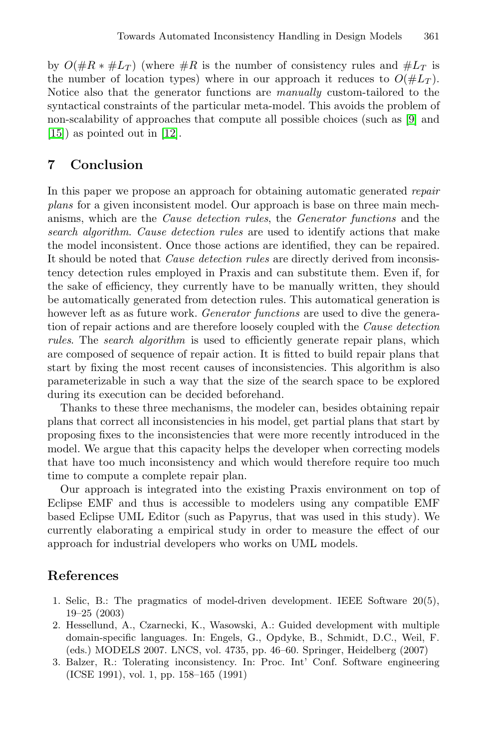<span id="page-13-2"></span>by  $O(HR * #L_T)$  (where  $#R$  is the number of consistency rules and  $#L_T$  is the number of location types) where in our approach it reduces to  $O(\#L_T)$ . Notice also that the generator functions are *manually* custom-tailored to the syntactical constraints of the particular meta-model. This avoids the problem of non-scalability of approaches that compute all possible choices (such as [9] and [15]) as pointed out in [12].

# **7 Conclusion**

In this paper we propose an approach for obtaining automatic generated *repair plans* for a given inconsistent model. Our approach is base on three main mechanisms, which are the *Cause detection rules*, the *Generator functions* and the *search algorithm*. *Cause detection rules* are used to identify actions that make the model inconsistent. Once those actions are identified, they can be repaired. It should be noted that *Cause detection rules* are directly derived from inconsistency detection rules employed in Praxis and can substitute them. Even if, for the sake of efficiency, they currently have to be manually written, they should be automatically generated from detection rules. This automatical generation is however left as as future work. *Generator functions* are used to dive the generation of repair actions and are therefore loosely coupled with the *Cause detection rules*. The *search algorithm* is used to efficiently generate repair plans, which are composed of sequence of repair action. It is fitted to build repair plans that start by fixing the most recent causes of inconsistencies. This algorithm is also parameterizable in such a way that the size of the search space to be explored during its execution can be decided beforehand.

Thanks to these three mechanisms, the modeler can, besides obtaining repair plans that correct all inconsistencies in his model, get partial plans that start by proposing fixes to the inconsistencies that were more recently introduced in the model. We argue that this capacity helps the developer when correcting models that have too much inconsistency and which would therefore require too much time to compute a complete repair plan.

<span id="page-13-0"></span>Our approach is integrated into the existing Praxis environment on top of Eclipse EMF and thus is accessible to modelers using any compatible EMF based Eclipse UML Editor (such as Papyrus, that was used in this study). We currently elaborating a empirical study in order to measure the effect of our approach for industrial developers who works on UML models.

# <span id="page-13-1"></span>**References**

- 1. Selic, B.: The pragmatics of model-driven development. IEEE Software 20(5), 19–25 (2003)
- 2. Hessellund, A., Czarnecki, K., Wasowski, A.: Guided development with multiple domain-specific languages. In: Engels, G., Opdyke, B., Schmidt, D.C., Weil, F. (eds.) MODELS 2007. LNCS, vol. 4735, pp. 46–60. Springer, Heidelberg (2007)
- 3. Balzer, R.: Tolerating inconsistency. In: Proc. Int' Conf. Software engineering (ICSE 1991), vol. 1, pp. 158–165 (1991)